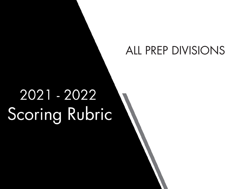## ALL PREP DIVISIONS

# 2021 - 2022 Scoring Rubric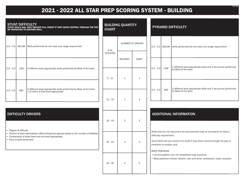### **2021 - 2022 ALL STAR PREP SCORING SYSTEM - BUILDING**

| <b>STUNT DIFFICULTY</b><br>STUNT SKILLS WILL ONLY RECEIVE FULL CREDIT IF THEY SHOW CONTROL THROUGH THE POP<br>OR TRANSITION TO ANOTHER SKILL.                                                                                                    |            |                                                                                                           | <b>BUILDING QUANTITY</b><br><b>CHART</b> |                  |                | <b>PYRAMID DIFFICULTY</b> |                                                                                                                                                                                                                                                       |                                                                                        |  |
|--------------------------------------------------------------------------------------------------------------------------------------------------------------------------------------------------------------------------------------------------|------------|-----------------------------------------------------------------------------------------------------------|------------------------------------------|------------------|----------------|---------------------------|-------------------------------------------------------------------------------------------------------------------------------------------------------------------------------------------------------------------------------------------------------|----------------------------------------------------------------------------------------|--|
|                                                                                                                                                                                                                                                  |            | 2.0 - 2.5   BELOW   Skills performed do not meet Low range requirement                                    | # OF<br><b>ATHLETES</b>                  | NUMBER OF GROUPS |                |                           |                                                                                                                                                                                                                                                       | 2.0 - 2.5 BELOW Skills performed do not meet Low range requirement                     |  |
|                                                                                                                                                                                                                                                  | LOW        |                                                                                                           |                                          | <b>MAJORITY</b>  | <b>MOST</b>    | $2.5 - 3.0$               | LOW                                                                                                                                                                                                                                                   | 2 different level appropriate skills and 2 structures performed                        |  |
| $2.5 - 3.0$                                                                                                                                                                                                                                      |            | 4 different level appropriate skills performed by Most of the team                                        | $5 - 11$                                 | $\mathbf{1}$     | $\mathbf{1}$   |                           |                                                                                                                                                                                                                                                       | by Most of the team                                                                    |  |
| $3.0 - 3.5$                                                                                                                                                                                                                                      | <b>MID</b> | 4 different level appropriate skills performed by Most of the team, 1 of which is Elite level appropriate |                                          |                  |                | $3.0 - 3.5$               | <b>MID</b>                                                                                                                                                                                                                                            | 3 different level appropriate skills and 2 structures performed<br>by Most of the team |  |
|                                                                                                                                                                                                                                                  |            |                                                                                                           | $12 - 15$                                | $\mathbf{1}$     | $\overline{2}$ |                           |                                                                                                                                                                                                                                                       |                                                                                        |  |
| <b>DIFFICULTY DRIVERS</b><br>Degree of difficulty<br>$\bullet$<br>Percent of team participation (Maximizing stunt groups based on the number of athletes)<br>Combination of skills (level and non-level appropriate)<br>Pace of skills performed |            |                                                                                                           | $16 - 19$                                | $\overline{2}$   | 3              |                           | <b>ADDITIONAL INFORMATION</b>                                                                                                                                                                                                                         |                                                                                        |  |
|                                                                                                                                                                                                                                                  |            |                                                                                                           | $20 - 23$                                | 3                | $\overline{4}$ |                           | Skills that are not required to be synchronized may be cumulative to meet a<br>difficulty requirement.<br>Stunt Skills will only receive full credit if they show control through the pop or<br>transition to another skill.<br><b>BODY POSITIONS</b> |                                                                                        |  |
|                                                                                                                                                                                                                                                  |            |                                                                                                           | $24 - 30$                                | $\overline{4}$   | 5              |                           | • Lib and platform are not considered body positions.<br>· Body positions include: Stretch, bow and arrow, arabesque, scale, scorpion.                                                                                                                |                                                                                        |  |

3.27.20 9.1.21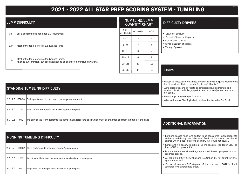### **2021 - 2022 ALL STAR PREP SCORING SYSTEM - TUMBLING** 9.1.21

| <b>JUMP DIFFICULTY</b> |                                                                               |                                                                                          | TUMBLING/JUMP<br><b>QUANTITY CHART</b> |                 |             |
|------------------------|-------------------------------------------------------------------------------|------------------------------------------------------------------------------------------|----------------------------------------|-----------------|-------------|
|                        | 0.5                                                                           | Skills performed do not meet 1.0 requirement                                             |                                        | <b>MAJORITY</b> | <b>MOST</b> |
|                        |                                                                               |                                                                                          | $5 - 7$                                | $\overline{2}$  | 4           |
|                        | 1.0<br>1.5                                                                    | Most of the team performs 1 advanced jump<br>Most of the team performs 2 advanced jumps. | $8 - 9$                                | $\overline{4}$  | 5           |
|                        |                                                                               |                                                                                          | $10 - 15$                              | 6               |             |
|                        |                                                                               |                                                                                          | $16 - 19$                              | 8               | 9           |
|                        | Must be synchronized, but does not need to be connected or include a variety. |                                                                                          | 10                                     | 13              |             |
|                        |                                                                               |                                                                                          | $26 - 30$                              | 14              | 16          |

#### UMP **IART**

#### DIFFICULTY DRIVERS

- Degree of difficulty
- Percent of team participation

• Tumbling passes must land on feet to be considered level appropriate and receive difficulty credit (i.e. jump 3/4 front flip to seat, back handsprings which lands in a prone position, etc. would not count).

• Variety - at least 2 different jumps. Performing the same jump with different

- Combination of skills
- Synchronization of passes
- Variety of passes

JUMPS

|             |     | <b>STANDING TUMBLING DIFFICULTY</b>                                                                                  | legs doesn't constitute as variety. (i.e. left/right hurdler).<br>• Jump skills must land on feet to be considered level appropriate and<br>receive difficulty credit (i.e. jumps that land on knee(s) or seat, etc. would<br>not count). |
|-------------|-----|----------------------------------------------------------------------------------------------------------------------|-------------------------------------------------------------------------------------------------------------------------------------------------------------------------------------------------------------------------------------------|
|             |     | 2.0 - 2.5   BELOW Skills performed do not meet Low range requirement                                                 | • Basic Jumps: Spread Eagle, Tuck Jump<br>• Advanced Jumps: Pike, Right/Left Hurdlers (front or side), Toe Touch                                                                                                                          |
| $2.5 - 3.0$ | LOW | Most of the team performs a level appropriate pass                                                                   |                                                                                                                                                                                                                                           |
| $3.0 - 3.5$ | MID | Majority of the team performs the same level appropriate pass which must be synchronized from initiation of the pass | <b>ADDITIONAL INFORMATION</b>                                                                                                                                                                                                             |

### RUNNING TUMBLING DIFFICULTY

|               |            | [2.0 - 2.5] BELOW Skills performed do not meet Low range requirement |  | • Jumps within a pass will not break up the pass (i.e. Toe Touch-BHS-Toe<br>Touch-BHS is 1 pass in L3).           |
|---------------|------------|----------------------------------------------------------------------|--|-------------------------------------------------------------------------------------------------------------------|
|               |            |                                                                      |  | • T-Jumps are not considered a jump and will break up a pass into two<br>separate passes.                         |
| $ 2.5 - 3.0 $ | LOW        | Less than a Majority of the team performs a level appropriate pass   |  | • L2- No skills out of a RO that are ILLEGAL in L1 will count for level<br>appropriate credit.                    |
| $3.0 - 3.5$   | <b>MID</b> | Majority of the team performs a level appropriate pass               |  | • L3- No skills out of a BHS step out 1/2 turn that are ILLEGAL in L2 will<br>count for level appropriate credit. |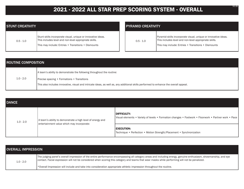### **2021 - 2022 ALL STAR PREP SCORING SYSTEM - OVERALL** 9.1.21

| <b>STUNT CREATIVITY</b> |                                                                                                                                                                              |  |  |  |  |
|-------------------------|------------------------------------------------------------------------------------------------------------------------------------------------------------------------------|--|--|--|--|
| $0.5 - 1.0$             | Stunt skills incorporate visual, unique or innovative ideas.<br>This includes level and non-level appropriate skills.<br>This may include: Entries • Transitions • Dismounts |  |  |  |  |

| <b>PYRAMID CREATIVITY</b> |                                                                                                                                                                                |  |  |  |
|---------------------------|--------------------------------------------------------------------------------------------------------------------------------------------------------------------------------|--|--|--|
| $0.5 - 1.0$               | Pyramid skills incorporate visual, unique or innovative ideas.<br>This includes level and non-level appropriate skills.<br>This may include: Entries . Transitions . Dismounts |  |  |  |

| <b>ROUTINE COMPOSITION</b> |                                                                                                                                       |  |  |  |
|----------------------------|---------------------------------------------------------------------------------------------------------------------------------------|--|--|--|
|                            | A team's ability to demonstrate the following throughout the routine:                                                                 |  |  |  |
| $1.0 - 2.0$                | Precise spacing • Formations • Transitions                                                                                            |  |  |  |
|                            | This also includes innovative, visual and intricate ideas, as well as, any additional skills performed to enhance the overall appeal. |  |  |  |

| <b>DANCE</b> |                                                            |                                                                                                                       |  |  |  |
|--------------|------------------------------------------------------------|-----------------------------------------------------------------------------------------------------------------------|--|--|--|
| $1.0 - 2.0$  | A team's ability to demonstrate a high level of energy and | DIFFICULTY:<br>  Visual elements • Variety of levels • Formation changes • Footwork • Floorwork • Partner work • Pace |  |  |  |
|              | entertainment value which may incorporate:                 | <b>EXECUTION:</b><br> Technique • Perfection • Motion Strength/Placement • Synchronization                            |  |  |  |

| <b>OVERALL IMPRESSION</b> |                                                                                                                                                                                                                                                                                                                   |  |  |  |
|---------------------------|-------------------------------------------------------------------------------------------------------------------------------------------------------------------------------------------------------------------------------------------------------------------------------------------------------------------|--|--|--|
| $1.0 - 2.0$               | The judging panel's overall impression of the entire performance encompassing all category areas and including energy, genuine enthusiasm, showmanship, and eye<br>contact. Facial expression will not be considered when scoring this category and teams that wear masks while performing will not be penalized. |  |  |  |
|                           | *Overall Impression will include and take into consideration appropriate athletic impression throughout the routine.                                                                                                                                                                                              |  |  |  |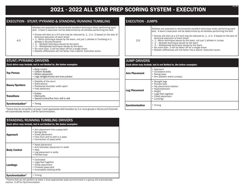### **2021 - 2022 ALL STAR PREP SCORING SYSTEM - EXECUTION** 9.1.21

#### EXECUTION - STUNT/PYRAMID & STANDING/RUNNING TUMBLING

Athletes are expected to demonstrate excellent technique when performing each skill. A team's execution will be determined by all athletes performing the skill.

- Scores will start at a 4.0 and may be reduced by .1, .2 or .3 based on the lack of technical execution of each driver
- .1 Minor technique issues by the team, not just 1 athlete in Tumbling or 1 athlete in Stunts/Pyramid
	- .2 Multiple technique issues by the team
- .3 Widespread technique issues by the team
- No more than .3 will be taken off for a single driver.
- Stylistic differences will not factor into a teams' Execution score.

### STUNT/PYRAMID DRIVERS

4.0

| Each driver may include, but is not limited to, the below examples: |                                                                                                          |  |  |
|---------------------------------------------------------------------|----------------------------------------------------------------------------------------------------------|--|--|
| <b>Top Person</b>                                                   | • Body control<br>• Uniform flexibility<br>• Motion placement<br>• Legs straight/locked and toes pointed |  |  |
| <b>Bases/Spotters</b>                                               | • Stability of the stunt<br>• Solid stance<br>• Positioned shoulder width apart<br>• Feet stationary     |  |  |
| <b>Transitions</b>                                                  | • Entries<br>• Dismounts<br>• Speed/control/flow from skill to skill                                     |  |  |
| Synchronization*                                                    | Timing<br>$\bullet$                                                                                      |  |  |

\*Teams that do not perform at least 1 level appropriate skill/transition by 2 or more groups in Stunts and Pyramids will automatically receive .3 off for Synchronization.

| <b>STANDING/RUNNING TUMBLING DRIVERS</b><br>Each driver may include, but is not limited to, the below examples: |                                                                                                                                               |  |
|-----------------------------------------------------------------------------------------------------------------|-----------------------------------------------------------------------------------------------------------------------------------------------|--|
| <b>Approach</b>                                                                                                 | • Arm placement into a pass/skill<br>• Swing/prep<br>• Chest placement<br>• Flow from skill to skill in a pass<br>• Connection of pass/skills |  |
| <b>Body Control</b>                                                                                             | • Head placement<br>• Arm/shoulder placement in skills<br>• Hips<br>• Leg placement in skills<br>• Pointed toes                               |  |
| Landings                                                                                                        | • Controlled<br>• Legs/feet together<br>• Chest placement<br>• Finished pass/skill<br>• Incomplete twisting skills                            |  |
| Synchronization*                                                                                                | • Timing                                                                                                                                      |  |

\*Teams that do not perform at least 1 level appropriate pass synchronized in a group will automatically receive .3 off for Synchronization.

### EXECUTION - JUMPS

Athletes are expected to demonstrate excellent technique when performing each skill. A team's execution will be determined by all athletes performing the skill.

- Scores will start at a 2.0 and may be reduced by .1, .2 or .3 based on the lack of technical execution of each driver • .1 - Minor technique issues by the team, not just 1 athlete in Jumps • .2 – Multiple technique issues by the team
- .3 Widespread technique issues by the team
- No more than .3 will be taken off for a single driver.
- Stylistic differences will not factor into a teams' Execution score.

#### JUMP DRIVERS

2.0

*Each driver may include, but is not limited to, the below examples:*

| <b>Arm Placement</b>   | • Approach<br>• Consistent entry<br>• Swing/prep<br>• Arm position within jump(s)                                                                        |
|------------------------|----------------------------------------------------------------------------------------------------------------------------------------------------------|
| <b>Leg Placement</b>   | • Straight legs<br>• Pointed toes<br>• Hip placement/rotation<br>• Hyperextension<br>• Height<br>• Legs/feet together<br>• Chest placement<br>• Landings |
| <b>Synchronization</b> | • Timing                                                                                                                                                 |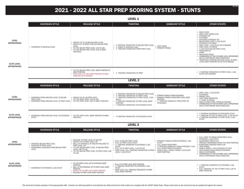### **2021 - 2022 ALL STAR PREP SCORING SYSTEM - STUNTS**

#### **LEVEL 1**

|                                                                                | <b>INVERSION STYLE</b>      | <b>RELEASE STYLE</b>                                                                                                                                                                       | <b>TWISTING</b>                                                                                                        | <b>DISMOUNT STYLE</b>            | <b>OTHER STUNTS</b>                                                                                                                                                                                                                                                                                                                                                                                                                                                                                |
|--------------------------------------------------------------------------------|-----------------------------|--------------------------------------------------------------------------------------------------------------------------------------------------------------------------------------------|------------------------------------------------------------------------------------------------------------------------|----------------------------------|----------------------------------------------------------------------------------------------------------------------------------------------------------------------------------------------------------------------------------------------------------------------------------------------------------------------------------------------------------------------------------------------------------------------------------------------------------------------------------------------------|
| <b>LEVEL</b><br><b>APPROPRIATE</b><br><b>ELITE LEVEL</b><br><b>APPROPRIATE</b> | • INVERSION TO GROUND LEVEL | • SWITCH UP TO LIB BELOW PREP LEVEL<br>• SWITCH UP TO BODY POSITION BELOW PREP<br>LEVEL<br>• TIC TOC BELOW PREP LEVEL (LIB TO LIB)<br>• TIC TOC BELOW PREP LEVEL (LIB TO BODY<br>POSITION) | • % TWISTING TRANSITION TO BELOW PREP LEVEL<br>• 1/4 DOWN TO GROUND LEVEL<br>• 1/4 TWISTING TRANSITION FROM PREP LEVEL | · STEP DOWN<br>• STRAIGHT CRADLE | • BACK STAND<br>• PREP LEVEL SHOW & GO<br>• STRADDLE SIT<br>• FLAT BACK<br>• EXTENDED STRADDLE SIT<br>• BELOW PREP LEVEL 1 LEG STUNT<br>• EXTENDED FLAT BACK<br>• PREP LEVEL 1 LEG STUNT WITH BRACER<br>• PREP LEVEL TO PRONE<br>• 1 LEG STUNT BELOW PREP LEVEL<br>• SHOULDER SIT<br>$\cdot$ CHAIR<br>• SHOULDER STAND<br>• COMBINATION OF TWO OR MORE LEVEL APPROPRIATE<br>SKILLS PERFORMED SIMULTANEOUSLY<br>• TRANSITION FROM BELOW PREP LEVEL TO PREP<br>LEVEL BODY POSITION STUNT WITH BRACER |
|                                                                                |                             | • TIC TOC BELOW PREP LEVEL (BODY POSITION TO<br><b>BODY POSITION)</b><br>• PREP LEVEL TIC TOC (BODY POSITION TO BODY<br><b>POSITION) WITH BRACER</b>                                       | • 1/4 TWISTING TRANSITION TO PREP                                                                                      |                                  | • % TWISTING TRANSITION TO PREP LEVEL 1 LEG<br><b>STUNT WITH BRACER</b>                                                                                                                                                                                                                                                                                                                                                                                                                            |
|                                                                                | LEVEL 2                     |                                                                                                                                                                                            |                                                                                                                        |                                  |                                                                                                                                                                                                                                                                                                                                                                                                                                                                                                    |

|                                          | <b>INVERSION STYLE</b>                                                                                                                          | <b>RELEASE STYLE</b>                                               | <b>TWISTING</b>                                                                                                                                                                                                                                            | <b>DISMOUNT STYLE</b>                                                                                                                              | <b>OTHER STUNTS</b>                                                                                                                                                                                                                         |
|------------------------------------------|-------------------------------------------------------------------------------------------------------------------------------------------------|--------------------------------------------------------------------|------------------------------------------------------------------------------------------------------------------------------------------------------------------------------------------------------------------------------------------------------------|----------------------------------------------------------------------------------------------------------------------------------------------------|---------------------------------------------------------------------------------------------------------------------------------------------------------------------------------------------------------------------------------------------|
| LEVEL<br><b>APPROPRIATE</b>              | • INVERSION FROM GROUND LEVEL TO BELOW<br>PREP LEVEL<br>• INVERSION FROM GROUND LEVEL TO PREP LEVEL • TIC TOC PREP LEVEL (LIB TO BODY POSITION) | • SWITCH UP TO LIB PREP LEVEL<br>• TIC TOC PREP LEVEL (LIB TO LIB) | • % TWISTING TRANSITION TO BELOW PREP LEVEL<br>1/2 TWISTING TRANSITION TO PREP LEVEL<br>1/4 TWISTING TRANSITION TO PREP LEVEL 1 LEG<br><b>STUNT</b><br>• ½ TWISTING TRANSITION TO PREP LEVEL BODY<br>POSITION<br>• % TWISTING TRANSITION TO EXTENDED STUNT | • STRAIGHT CRADLE FROM EXTENSION<br>• STRAIGHT CRADLE FROM PREP LEVEL BODY<br>POSITION<br>• 1/4 TWISTING DISMOUNT FROM PREP OR<br><b>EXTENSION</b> | • PREP LEVEL 1 LEG STUNT<br>• EXTENSION<br>• BARREL ROLL<br>• LEAP FROG VARIATIONS<br>$\cdot$ % TWIST TO PRONE<br>• WALK IN PREP LEVEL PRESS EXTENSION<br>• COMBINATION OF TWO OR MORE LEVEL APPROPRIATE<br>SKILLS PERFORMED SIMULTANEOUSLY |
| <b>ELITE LEVEL</b><br><b>APPROPRIATE</b> | • INVERSION FROM GROUND LEVEL TO EXTENDED<br><b>STUNT</b>                                                                                       | . TIC TOC PREP LEVEL (BODY POSITION TO BODY<br>POSITION)           | • % TWISTING TRANSITION TO EXTENDED STUNT                                                                                                                                                                                                                  |                                                                                                                                                    | • % TWISTING INVERSION TO EXTENDED STUNT<br>• % TWISTING TIC TOC TO PREP LEVEL 1 LEG STUNT<br>• % TWISTING INVERSION TO PREP LEVEL 1 LEG<br><b>STUNT</b>                                                                                    |

#### **LEVEL 3**

|                                          | <b>INVERSION STYLE</b>                                                                                   | <b>RELEASE STYLE</b>                                                                                                                                                                                                                                          | <b>TWISTING</b>                                                                                                                                                                                                                                                             | <b>DISMOUNT STYLE</b>                                                                                                                                                         | <b>OTHER STUNTS</b>                                                                                                                                                                                                                                                                                                                                                                       |
|------------------------------------------|----------------------------------------------------------------------------------------------------------|---------------------------------------------------------------------------------------------------------------------------------------------------------------------------------------------------------------------------------------------------------------|-----------------------------------------------------------------------------------------------------------------------------------------------------------------------------------------------------------------------------------------------------------------------------|-------------------------------------------------------------------------------------------------------------------------------------------------------------------------------|-------------------------------------------------------------------------------------------------------------------------------------------------------------------------------------------------------------------------------------------------------------------------------------------------------------------------------------------------------------------------------------------|
| <b>LEVEL</b><br><b>APPROPRIATE</b>       | • INVERTED BELOW PREP LEVEL<br>• INVERTED AT PREP LEVEL<br>• DOWNWARD INVERSION FROM BELOW PREP<br>LEVEL | • RELEASE TO PREP LEVEL OR BELOW<br>• SWITCH UP TO PREP LEVEL LIB<br>• BALL UP. STRADDLE UP AND/OR RELEASE TO<br>PREP LEVEL LIB<br>• TIC TOC BELOW PREP LEVEL TO BELOW PREP<br>LEVEL (LIB TO LIB)<br>• TIC TOC BELOW PREP LEVEL TO PREP LEVEL (LIB<br>TO LIB) | • FULL UP BELOW PREP LEVEL<br>• FULL UP PREP LEVEL STUNT<br>• 1/4 TWISTING TRANSITION TO EXTENDED 1 LEG<br><b>STUNT</b><br>• FULL UP TO PREP LEVEL 1 LEG STUNT<br>• PREP LEVEL FULL TWISTING TRANSITION TO PREP • SINGLE SKILL CRADLE FROM 2 LEG STUNT<br>LEVEL 1 LEG STUNT | • STRAIGHT CRADLE FROM EXTENDED 1 LEG<br><b>STUNT</b><br>• FULL DOWN FROM PREP<br>• 1/4 TWISTING DISMOUNT FROM EXTENDED 1 LEG<br>• FULL DOWN FROM EXTENSION<br>(NON-TWISTING) | • FULL TWIST TO PRONE FROM PREP LEVEL<br>• EXTENDED 1 LEG STUNT<br>• SUSPENDED FRONT FLIP<br>• SPECIALTY SUSPENDED FRONT FLIP (NON-TWISTING)<br>• SUSPENDED TWISTING FRONT FLIP<br>• TOSS HANDS<br>• SINGLE BASED 1 LEG EXTENDED STUNTS<br>• TOSS HANDS PAUSE PRESS EXTENSION<br>• WALK IN EXTENSION<br>• COMBINATION OF TWO OR MORE LEVEL APPROPRIATE<br>SKILLS PERFORMED SIMULTANEOUSLY |
| <b>ELITE LEVEL</b><br><b>APPROPRIATE</b> | • INVERSION TO EXTENDED 1 LEG STUNT                                                                      | • TIC TOC PREP LEVEL LIB TO EXTENDED BODY<br>POSITION<br>• BALL UP OR STRADDLE UP TO PREP LEVEL BODY<br>POSITION<br>• SWITCH UP TO PREP LEVEL BODY POSITION<br>• RELEASE TO PREP LEVEL BODY POSITION                                                          | • FULL UP TO PREP LEVEL BODY POSITION<br>• ½ TWISTING TRANSITION TO EXTENDED 1 LEG<br><b>STUNT</b><br>• PREP LEVEL FULL TWISTING TRANSITION TO PREP<br><b>LEVEL BODY POSITION</b>                                                                                           |                                                                                                                                                                               | • % TWISTING INVERSION TO EXTENDED 1 LEG<br><b>STUNT</b><br>• FULL TWISTING TIC TOC AT PREP LEVEL (LIB TO<br>BODY POSITION)                                                                                                                                                                                                                                                               |